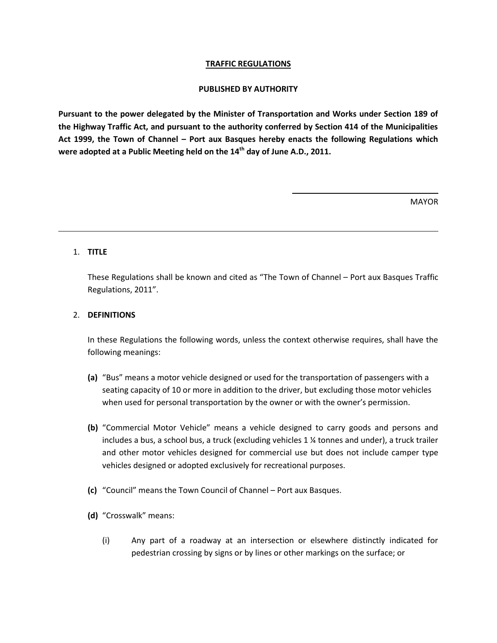### **TRAFFIC REGULATIONS**

### **PUBLISHED BY AUTHORITY**

**Pursuant to the power delegated by the Minister of Transportation and Works under Section 189 of the Highway Traffic Act, and pursuant to the authority conferred by Section 414 of the Municipalities Act 1999, the Town of Channel – Port aux Basques hereby enacts the following Regulations which were adopted at a Public Meeting held on the 14th day of June A.D., 2011.**

MAYOR

## 1. **TITLE**

These Regulations shall be known and cited as "The Town of Channel – Port aux Basques Traffic Regulations, 2011".

## 2. **DEFINITIONS**

In these Regulations the following words, unless the context otherwise requires, shall have the following meanings:

- **(a)** "Bus" means a motor vehicle designed or used for the transportation of passengers with a seating capacity of 10 or more in addition to the driver, but excluding those motor vehicles when used for personal transportation by the owner or with the owner's permission.
- **(b)** "Commercial Motor Vehicle" means a vehicle designed to carry goods and persons and includes a bus, a school bus, a truck (excluding vehicles 1 ¼ tonnes and under), a truck trailer and other motor vehicles designed for commercial use but does not include camper type vehicles designed or adopted exclusively for recreational purposes.
- **(c)** "Council" means the Town Council of Channel Port aux Basques.
- **(d)** "Crosswalk" means:
	- (i) Any part of a roadway at an intersection or elsewhere distinctly indicated for pedestrian crossing by signs or by lines or other markings on the surface; or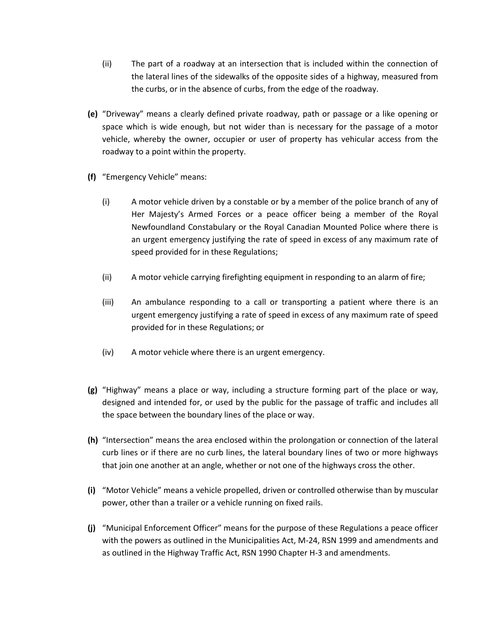- (ii) The part of a roadway at an intersection that is included within the connection of the lateral lines of the sidewalks of the opposite sides of a highway, measured from the curbs, or in the absence of curbs, from the edge of the roadway.
- **(e)** "Driveway" means a clearly defined private roadway, path or passage or a like opening or space which is wide enough, but not wider than is necessary for the passage of a motor vehicle, whereby the owner, occupier or user of property has vehicular access from the roadway to a point within the property.
- **(f)** "Emergency Vehicle" means:
	- (i) A motor vehicle driven by a constable or by a member of the police branch of any of Her Majesty's Armed Forces or a peace officer being a member of the Royal Newfoundland Constabulary or the Royal Canadian Mounted Police where there is an urgent emergency justifying the rate of speed in excess of any maximum rate of speed provided for in these Regulations;
	- (ii) A motor vehicle carrying firefighting equipment in responding to an alarm of fire;
	- (iii) An ambulance responding to a call or transporting a patient where there is an urgent emergency justifying a rate of speed in excess of any maximum rate of speed provided for in these Regulations; or
	- (iv) A motor vehicle where there is an urgent emergency.
- **(g)** "Highway" means a place or way, including a structure forming part of the place or way, designed and intended for, or used by the public for the passage of traffic and includes all the space between the boundary lines of the place or way.
- **(h)** "Intersection" means the area enclosed within the prolongation or connection of the lateral curb lines or if there are no curb lines, the lateral boundary lines of two or more highways that join one another at an angle, whether or not one of the highways cross the other.
- **(i)** "Motor Vehicle" means a vehicle propelled, driven or controlled otherwise than by muscular power, other than a trailer or a vehicle running on fixed rails.
- **(j)** "Municipal Enforcement Officer" means for the purpose of these Regulations a peace officer with the powers as outlined in the Municipalities Act, M-24, RSN 1999 and amendments and as outlined in the Highway Traffic Act, RSN 1990 Chapter H-3 and amendments.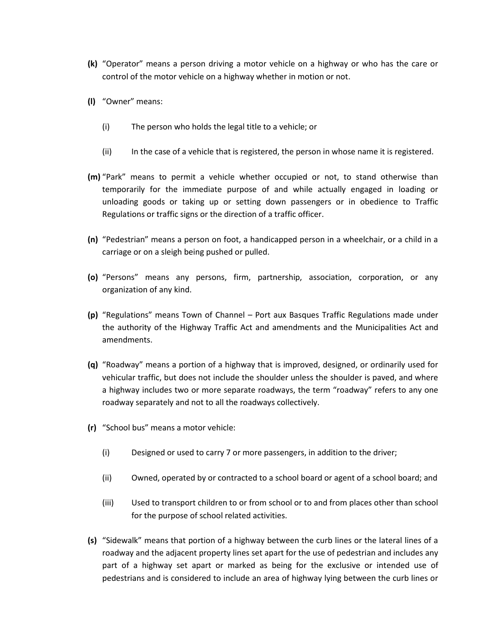- **(k)** "Operator" means a person driving a motor vehicle on a highway or who has the care or control of the motor vehicle on a highway whether in motion or not.
- **(l)** "Owner" means:
	- (i) The person who holds the legal title to a vehicle; or
	- (ii) In the case of a vehicle that is registered, the person in whose name it is registered.
- **(m)** "Park" means to permit a vehicle whether occupied or not, to stand otherwise than temporarily for the immediate purpose of and while actually engaged in loading or unloading goods or taking up or setting down passengers or in obedience to Traffic Regulations or traffic signs or the direction of a traffic officer.
- **(n)** "Pedestrian" means a person on foot, a handicapped person in a wheelchair, or a child in a carriage or on a sleigh being pushed or pulled.
- **(o)** "Persons" means any persons, firm, partnership, association, corporation, or any organization of any kind.
- **(p)** "Regulations" means Town of Channel Port aux Basques Traffic Regulations made under the authority of the Highway Traffic Act and amendments and the Municipalities Act and amendments.
- **(q)** "Roadway" means a portion of a highway that is improved, designed, or ordinarily used for vehicular traffic, but does not include the shoulder unless the shoulder is paved, and where a highway includes two or more separate roadways, the term "roadway" refers to any one roadway separately and not to all the roadways collectively.
- **(r)** "School bus" means a motor vehicle:
	- (i) Designed or used to carry 7 or more passengers, in addition to the driver;
	- (ii) Owned, operated by or contracted to a school board or agent of a school board; and
	- (iii) Used to transport children to or from school or to and from places other than school for the purpose of school related activities.
- **(s)** "Sidewalk" means that portion of a highway between the curb lines or the lateral lines of a roadway and the adjacent property lines set apart for the use of pedestrian and includes any part of a highway set apart or marked as being for the exclusive or intended use of pedestrians and is considered to include an area of highway lying between the curb lines or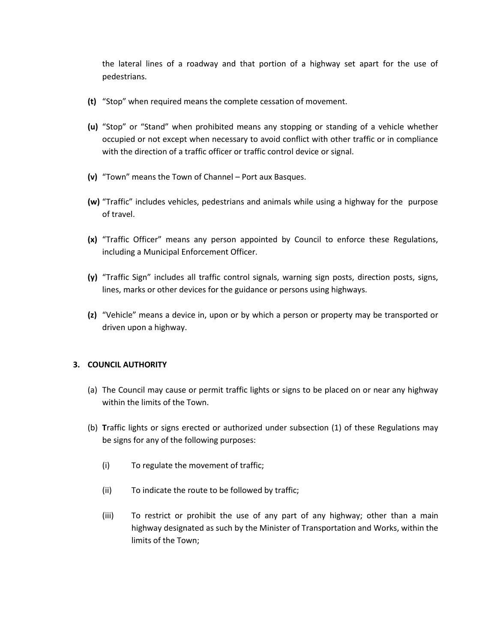the lateral lines of a roadway and that portion of a highway set apart for the use of pedestrians.

- **(t)** "Stop" when required means the complete cessation of movement.
- **(u)** "Stop" or "Stand" when prohibited means any stopping or standing of a vehicle whether occupied or not except when necessary to avoid conflict with other traffic or in compliance with the direction of a traffic officer or traffic control device or signal.
- **(v)** "Town" means the Town of Channel Port aux Basques.
- **(w)** "Traffic" includes vehicles, pedestrians and animals while using a highway for the purpose of travel.
- **(x)** "Traffic Officer" means any person appointed by Council to enforce these Regulations, including a Municipal Enforcement Officer.
- **(y)** "Traffic Sign" includes all traffic control signals, warning sign posts, direction posts, signs, lines, marks or other devices for the guidance or persons using highways.
- **(z)** "Vehicle" means a device in, upon or by which a person or property may be transported or driven upon a highway.

## **3. COUNCIL AUTHORITY**

- (a) The Council may cause or permit traffic lights or signs to be placed on or near any highway within the limits of the Town.
- (b) **T**raffic lights or signs erected or authorized under subsection (1) of these Regulations may be signs for any of the following purposes:
	- (i) To regulate the movement of traffic;
	- (ii) To indicate the route to be followed by traffic;
	- (iii) To restrict or prohibit the use of any part of any highway; other than a main highway designated as such by the Minister of Transportation and Works, within the limits of the Town;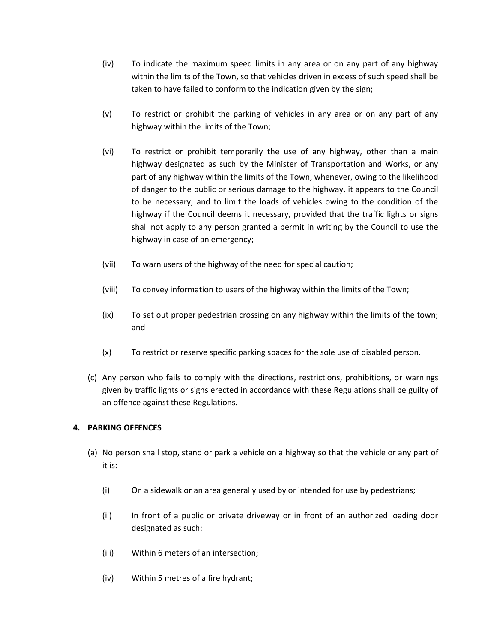- (iv) To indicate the maximum speed limits in any area or on any part of any highway within the limits of the Town, so that vehicles driven in excess of such speed shall be taken to have failed to conform to the indication given by the sign;
- (v) To restrict or prohibit the parking of vehicles in any area or on any part of any highway within the limits of the Town;
- (vi) To restrict or prohibit temporarily the use of any highway, other than a main highway designated as such by the Minister of Transportation and Works, or any part of any highway within the limits of the Town, whenever, owing to the likelihood of danger to the public or serious damage to the highway, it appears to the Council to be necessary; and to limit the loads of vehicles owing to the condition of the highway if the Council deems it necessary, provided that the traffic lights or signs shall not apply to any person granted a permit in writing by the Council to use the highway in case of an emergency;
- (vii) To warn users of the highway of the need for special caution;
- (viii) To convey information to users of the highway within the limits of the Town;
- (ix) To set out proper pedestrian crossing on any highway within the limits of the town; and
- (x) To restrict or reserve specific parking spaces for the sole use of disabled person.
- (c) Any person who fails to comply with the directions, restrictions, prohibitions, or warnings given by traffic lights or signs erected in accordance with these Regulations shall be guilty of an offence against these Regulations.

## **4. PARKING OFFENCES**

- (a) No person shall stop, stand or park a vehicle on a highway so that the vehicle or any part of it is:
	- (i) On a sidewalk or an area generally used by or intended for use by pedestrians;
	- (ii) In front of a public or private driveway or in front of an authorized loading door designated as such:
	- (iii) Within 6 meters of an intersection;
	- (iv) Within 5 metres of a fire hydrant;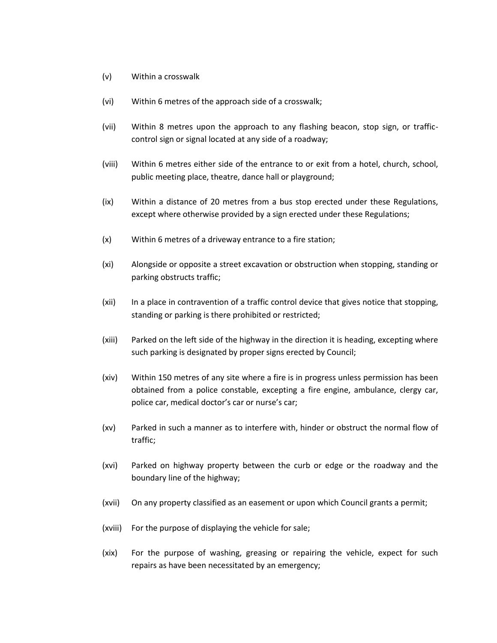- (v) Within a crosswalk
- (vi) Within 6 metres of the approach side of a crosswalk;
- (vii) Within 8 metres upon the approach to any flashing beacon, stop sign, or trafficcontrol sign or signal located at any side of a roadway;
- (viii) Within 6 metres either side of the entrance to or exit from a hotel, church, school, public meeting place, theatre, dance hall or playground;
- (ix) Within a distance of 20 metres from a bus stop erected under these Regulations, except where otherwise provided by a sign erected under these Regulations;
- (x) Within 6 metres of a driveway entrance to a fire station;
- (xi) Alongside or opposite a street excavation or obstruction when stopping, standing or parking obstructs traffic;
- (xii) In a place in contravention of a traffic control device that gives notice that stopping, standing or parking is there prohibited or restricted;
- (xiii) Parked on the left side of the highway in the direction it is heading, excepting where such parking is designated by proper signs erected by Council;
- (xiv) Within 150 metres of any site where a fire is in progress unless permission has been obtained from a police constable, excepting a fire engine, ambulance, clergy car, police car, medical doctor's car or nurse's car;
- (xv) Parked in such a manner as to interfere with, hinder or obstruct the normal flow of traffic;
- (xvi) Parked on highway property between the curb or edge or the roadway and the boundary line of the highway;
- (xvii) On any property classified as an easement or upon which Council grants a permit;
- (xviii) For the purpose of displaying the vehicle for sale;
- (xix) For the purpose of washing, greasing or repairing the vehicle, expect for such repairs as have been necessitated by an emergency;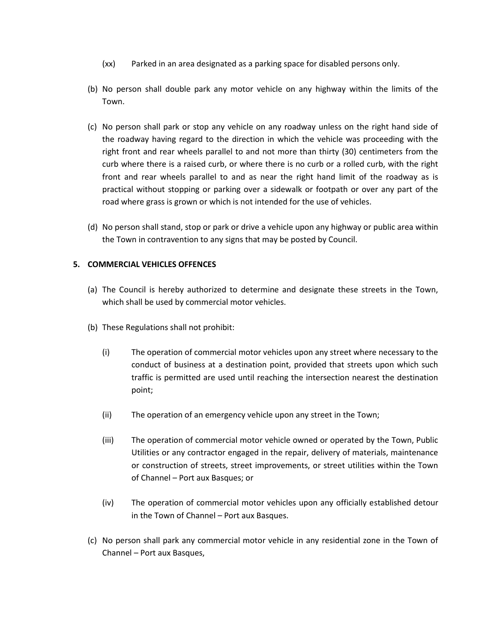- (xx) Parked in an area designated as a parking space for disabled persons only.
- (b) No person shall double park any motor vehicle on any highway within the limits of the Town.
- (c) No person shall park or stop any vehicle on any roadway unless on the right hand side of the roadway having regard to the direction in which the vehicle was proceeding with the right front and rear wheels parallel to and not more than thirty (30) centimeters from the curb where there is a raised curb, or where there is no curb or a rolled curb, with the right front and rear wheels parallel to and as near the right hand limit of the roadway as is practical without stopping or parking over a sidewalk or footpath or over any part of the road where grass is grown or which is not intended for the use of vehicles.
- (d) No person shall stand, stop or park or drive a vehicle upon any highway or public area within the Town in contravention to any signs that may be posted by Council.

## **5. COMMERCIAL VEHICLES OFFENCES**

- (a) The Council is hereby authorized to determine and designate these streets in the Town, which shall be used by commercial motor vehicles.
- (b) These Regulations shall not prohibit:
	- (i) The operation of commercial motor vehicles upon any street where necessary to the conduct of business at a destination point, provided that streets upon which such traffic is permitted are used until reaching the intersection nearest the destination point;
	- (ii) The operation of an emergency vehicle upon any street in the Town;
	- (iii) The operation of commercial motor vehicle owned or operated by the Town, Public Utilities or any contractor engaged in the repair, delivery of materials, maintenance or construction of streets, street improvements, or street utilities within the Town of Channel – Port aux Basques; or
	- (iv) The operation of commercial motor vehicles upon any officially established detour in the Town of Channel – Port aux Basques.
- (c) No person shall park any commercial motor vehicle in any residential zone in the Town of Channel – Port aux Basques,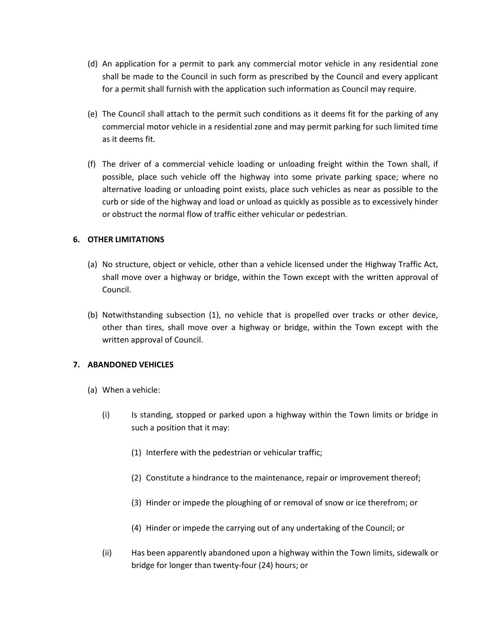- (d) An application for a permit to park any commercial motor vehicle in any residential zone shall be made to the Council in such form as prescribed by the Council and every applicant for a permit shall furnish with the application such information as Council may require.
- (e) The Council shall attach to the permit such conditions as it deems fit for the parking of any commercial motor vehicle in a residential zone and may permit parking for such limited time as it deems fit.
- (f) The driver of a commercial vehicle loading or unloading freight within the Town shall, if possible, place such vehicle off the highway into some private parking space; where no alternative loading or unloading point exists, place such vehicles as near as possible to the curb or side of the highway and load or unload as quickly as possible as to excessively hinder or obstruct the normal flow of traffic either vehicular or pedestrian.

# **6. OTHER LIMITATIONS**

- (a) No structure, object or vehicle, other than a vehicle licensed under the Highway Traffic Act, shall move over a highway or bridge, within the Town except with the written approval of Council.
- (b) Notwithstanding subsection (1), no vehicle that is propelled over tracks or other device, other than tires, shall move over a highway or bridge, within the Town except with the written approval of Council.

## **7. ABANDONED VEHICLES**

- (a) When a vehicle:
	- (i) Is standing, stopped or parked upon a highway within the Town limits or bridge in such a position that it may:
		- (1) Interfere with the pedestrian or vehicular traffic;
		- (2) Constitute a hindrance to the maintenance, repair or improvement thereof;
		- (3) Hinder or impede the ploughing of or removal of snow or ice therefrom; or
		- (4) Hinder or impede the carrying out of any undertaking of the Council; or
	- (ii) Has been apparently abandoned upon a highway within the Town limits, sidewalk or bridge for longer than twenty-four (24) hours; or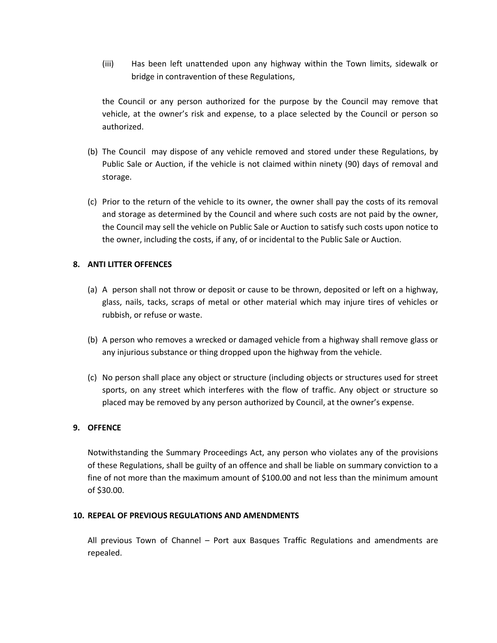(iii) Has been left unattended upon any highway within the Town limits, sidewalk or bridge in contravention of these Regulations,

the Council or any person authorized for the purpose by the Council may remove that vehicle, at the owner's risk and expense, to a place selected by the Council or person so authorized.

- (b) The Council may dispose of any vehicle removed and stored under these Regulations, by Public Sale or Auction, if the vehicle is not claimed within ninety (90) days of removal and storage.
- (c) Prior to the return of the vehicle to its owner, the owner shall pay the costs of its removal and storage as determined by the Council and where such costs are not paid by the owner, the Council may sell the vehicle on Public Sale or Auction to satisfy such costs upon notice to the owner, including the costs, if any, of or incidental to the Public Sale or Auction.

## **8. ANTI LITTER OFFENCES**

- (a) A person shall not throw or deposit or cause to be thrown, deposited or left on a highway, glass, nails, tacks, scraps of metal or other material which may injure tires of vehicles or rubbish, or refuse or waste.
- (b) A person who removes a wrecked or damaged vehicle from a highway shall remove glass or any injurious substance or thing dropped upon the highway from the vehicle.
- (c) No person shall place any object or structure (including objects or structures used for street sports, on any street which interferes with the flow of traffic. Any object or structure so placed may be removed by any person authorized by Council, at the owner's expense.

## **9. OFFENCE**

Notwithstanding the Summary Proceedings Act, any person who violates any of the provisions of these Regulations, shall be guilty of an offence and shall be liable on summary conviction to a fine of not more than the maximum amount of \$100.00 and not less than the minimum amount of \$30.00.

## **10. REPEAL OF PREVIOUS REGULATIONS AND AMENDMENTS**

All previous Town of Channel – Port aux Basques Traffic Regulations and amendments are repealed.